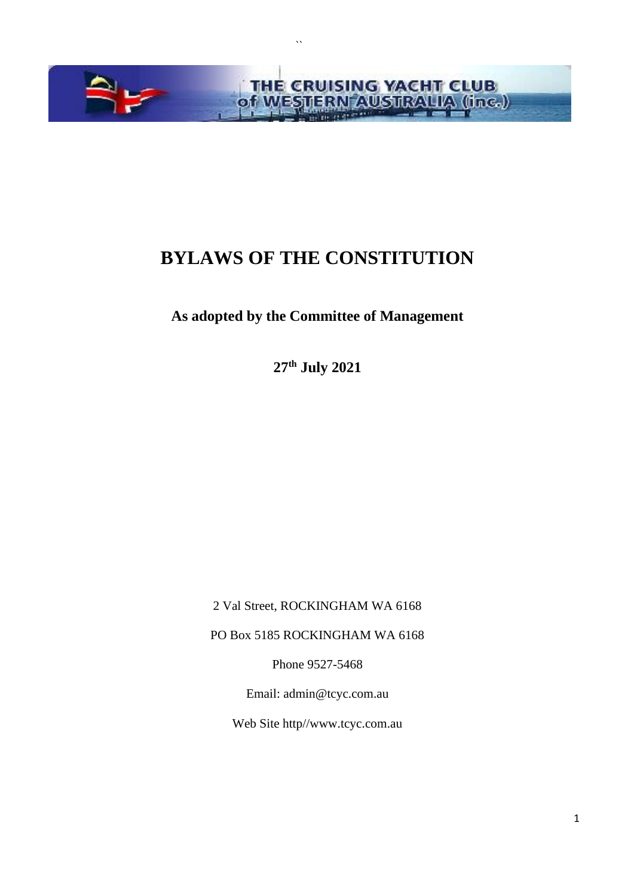

 $\ddot{\phantom{0}}$ 

# **BYLAWS OF THE CONSTITUTION**

# **As adopted by the Committee of Management**

**27th July 2021**

2 Val Street, ROCKINGHAM WA 6168

PO Box 5185 ROCKINGHAM WA 6168

Phone 9527-5468

Email: admin@tcyc.com.au

Web Site http//www.tcyc.com.au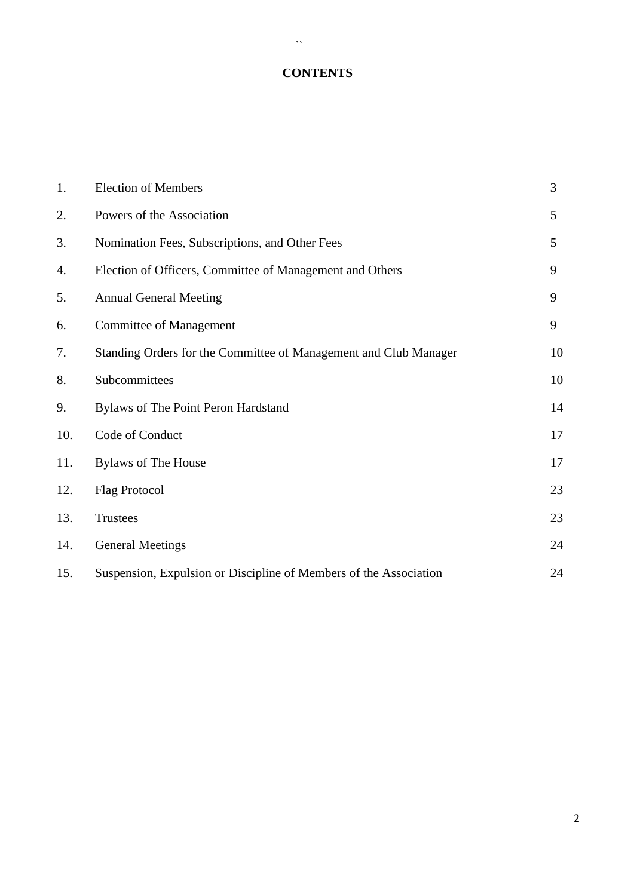# **CONTENTS**

 $\sim$   $\sim$ 

| 1.  | <b>Election of Members</b>                                        | 3  |
|-----|-------------------------------------------------------------------|----|
| 2.  | Powers of the Association                                         | 5  |
| 3.  | Nomination Fees, Subscriptions, and Other Fees                    | 5  |
| 4.  | Election of Officers, Committee of Management and Others          | 9  |
| 5.  | <b>Annual General Meeting</b>                                     | 9  |
| 6.  | <b>Committee of Management</b>                                    | 9  |
| 7.  | Standing Orders for the Committee of Management and Club Manager  | 10 |
| 8.  | Subcommittees                                                     | 10 |
| 9.  | Bylaws of The Point Peron Hardstand                               | 14 |
| 10. | Code of Conduct                                                   | 17 |
| 11. | <b>Bylaws of The House</b>                                        | 17 |
| 12. | <b>Flag Protocol</b>                                              | 23 |
| 13. | <b>Trustees</b>                                                   | 23 |
| 14. | <b>General Meetings</b>                                           | 24 |
| 15. | Suspension, Expulsion or Discipline of Members of the Association | 24 |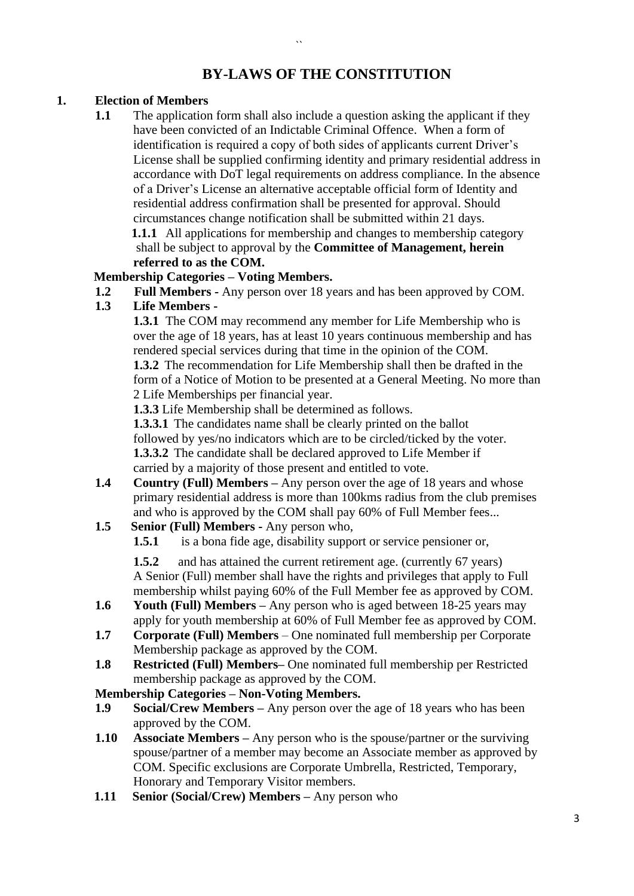# **BY-LAWS OF THE CONSTITUTION**

 $\ddot{\phantom{a}}$ 

# **1. Election of Members**

**1.1** The application form shall also include a question asking the applicant if they have been convicted of an Indictable Criminal Offence. When a form of identification is required a copy of both sides of applicants current Driver's License shall be supplied confirming identity and primary residential address in accordance with DoT legal requirements on address compliance. In the absence of a Driver's License an alternative acceptable official form of Identity and residential address confirmation shall be presented for approval. Should circumstances change notification shall be submitted within 21 days. **1.1.1** All applications for membership and changes to membership category shall be subject to approval by the **Committee of Management, herein referred to as the COM.**

### **Membership Categories – Voting Members.**

**1.2 Full Members -** Any person over 18 years and has been approved by COM.

# **1.3 Life Members -**

**1.3.1** The COM may recommend any member for Life Membership who is over the age of 18 years, has at least 10 years continuous membership and has rendered special services during that time in the opinion of the COM.

**1.3.2** The recommendation for Life Membership shall then be drafted in the form of a Notice of Motion to be presented at a General Meeting. No more than 2 Life Memberships per financial year.

**1.3.3** Life Membership shall be determined as follows.

**1.3.3.1** The candidates name shall be clearly printed on the ballot

followed by yes/no indicators which are to be circled/ticked by the voter.

**1.3.3.2** The candidate shall be declared approved to Life Member if carried by a majority of those present and entitled to vote.

- **1.4 Country (Full) Members –** Any person over the age of 18 years and whose primary residential address is more than 100kms radius from the club premises and who is approved by the COM shall pay 60% of Full Member fees...
- **1.5 Senior (Full) Members -** Any person who,
	- **1.5.1** is a bona fide age, disability support or service pensioner or,

**1.5.2** and has attained the current retirement age. (currently 67 years) A Senior (Full) member shall have the rights and privileges that apply to Full membership whilst paying 60% of the Full Member fee as approved by COM.

- **1.6 Youth (Full) Members –** Any person who is aged between 18-25 years may apply for youth membership at 60% of Full Member fee as approved by COM.
- **1.7 Corporate (Full) Members** One nominated full membership per Corporate Membership package as approved by the COM.
- **1.8 Restricted (Full) Members–** One nominated full membership per Restricted membership package as approved by the COM.

### **Membership Categories – Non-Voting Members.**

- **1.9 Social/Crew Members –** Any person over the age of 18 years who has been approved by the COM.
- **1.10 Associate Members –** Any person who is the spouse/partner or the surviving spouse/partner of a member may become an Associate member as approved by COM. Specific exclusions are Corporate Umbrella, Restricted, Temporary, Honorary and Temporary Visitor members.
- **1.11 Senior (Social/Crew) Members –** Any person who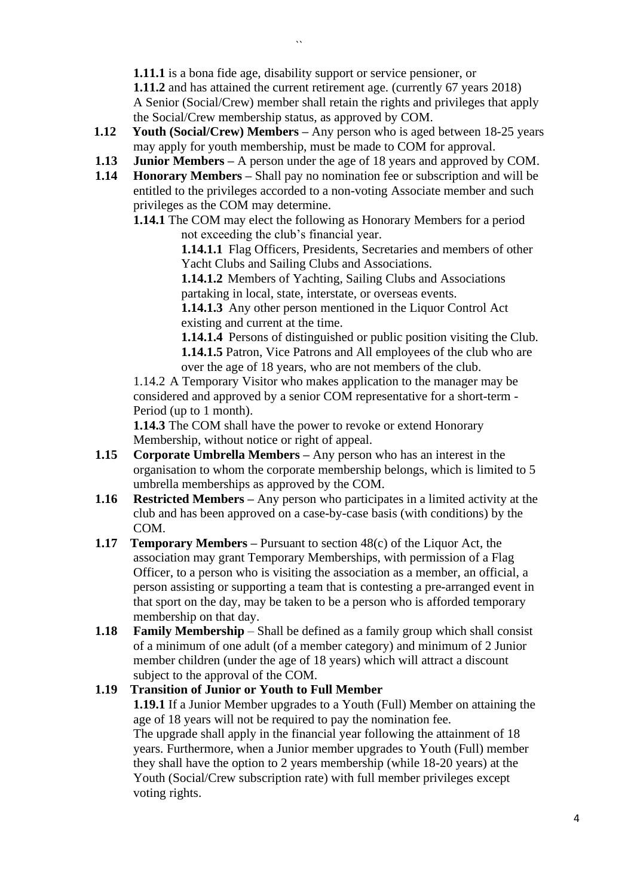**1.11.1** is a bona fide age, disability support or service pensioner, or

**1.11.2** and has attained the current retirement age. (currently 67 years 2018) A Senior (Social/Crew) member shall retain the rights and privileges that apply the Social/Crew membership status, as approved by COM.

- **1.12 Youth (Social/Crew) Members –** Any person who is aged between 18-25 years may apply for youth membership, must be made to COM for approval.
- **1.13 Junior Members –** A person under the age of 18 years and approved by COM.
- **1.14 Honorary Members –** Shall pay no nomination fee or subscription and will be entitled to the privileges accorded to a non-voting Associate member and such privileges as the COM may determine.
	- **1.14.1** The COM may elect the following as Honorary Members for a period not exceeding the club's financial year.

**1.14.1.1** Flag Officers, Presidents, Secretaries and members of other Yacht Clubs and Sailing Clubs and Associations.

**1.14.1.2** Members of Yachting, Sailing Clubs and Associations partaking in local, state, interstate, or overseas events.

**1.14.1.3** Any other person mentioned in the Liquor Control Act existing and current at the time.

**1.14.1.4** Persons of distinguished or public position visiting the Club. **1.14.1.5** Patron, Vice Patrons and All employees of the club who are over the age of 18 years, who are not members of the club.

1.14.2 A Temporary Visitor who makes application to the manager may be considered and approved by a senior COM representative for a short-term - Period (up to 1 month).

**1.14.3** The COM shall have the power to revoke or extend Honorary Membership, without notice or right of appeal.

- **1.15 Corporate Umbrella Members –** Any person who has an interest in the organisation to whom the corporate membership belongs, which is limited to 5 umbrella memberships as approved by the COM.
- **1.16 Restricted Members –** Any person who participates in a limited activity at the club and has been approved on a case-by-case basis (with conditions) by the COM.
- **1.17 Temporary Members –** Pursuant to section 48(c) of the Liquor Act, the association may grant Temporary Memberships, with permission of a Flag Officer, to a person who is visiting the association as a member, an official, a person assisting or supporting a team that is contesting a pre-arranged event in that sport on the day, may be taken to be a person who is afforded temporary membership on that day.
- **1.18 Family Membership** Shall be defined as a family group which shall consist of a minimum of one adult (of a member category) and minimum of 2 Junior member children (under the age of 18 years) which will attract a discount subject to the approval of the COM.

### **1.19 Transition of Junior or Youth to Full Member**

**1.19.1** If a Junior Member upgrades to a Youth (Full) Member on attaining the age of 18 years will not be required to pay the nomination fee. The upgrade shall apply in the financial year following the attainment of 18 years. Furthermore, when a Junior member upgrades to Youth (Full) member they shall have the option to 2 years membership (while 18-20 years) at the Youth (Social/Crew subscription rate) with full member privileges except voting rights.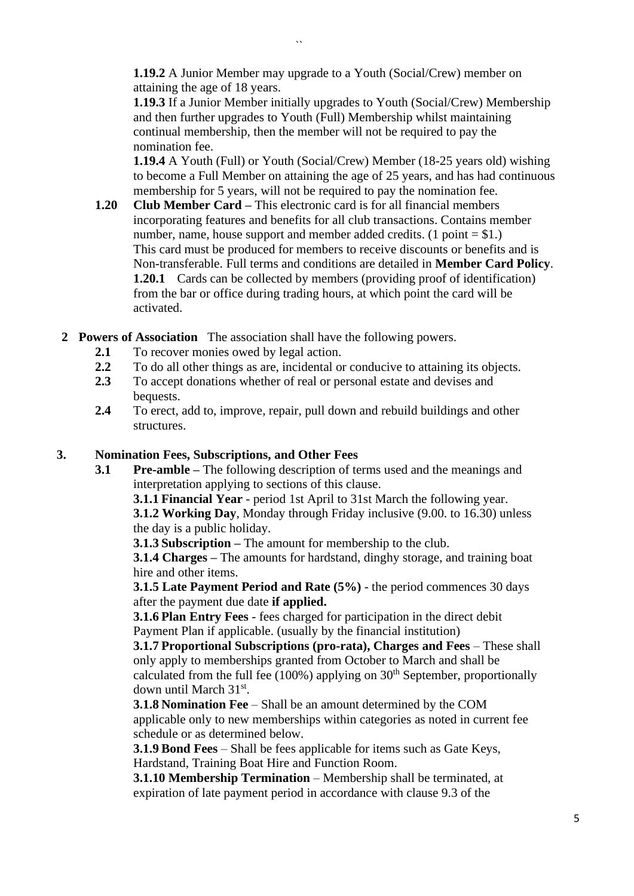**1.19.2** A Junior Member may upgrade to a Youth (Social/Crew) member on attaining the age of 18 years.

**1.19.3** If a Junior Member initially upgrades to Youth (Social/Crew) Membership and then further upgrades to Youth (Full) Membership whilst maintaining continual membership, then the member will not be required to pay the nomination fee.

**1.19.4** A Youth (Full) or Youth (Social/Crew) Member (18-25 years old) wishing to become a Full Member on attaining the age of 25 years, and has had continuous membership for 5 years, will not be required to pay the nomination fee.

- **1.20 Club Member Card –** This electronic card is for all financial members incorporating features and benefits for all club transactions. Contains member number, name, house support and member added credits.  $(1 point = $1.)$ This card must be produced for members to receive discounts or benefits and is Non-transferable. Full terms and conditions are detailed in **Member Card Policy**. **1.20.1** Cards can be collected by members (providing proof of identification) from the bar or office during trading hours, at which point the card will be activated.
- **2 Powers of Association** The association shall have the following powers.
	- **2.1** To recover monies owed by legal action.
	- **2.2** To do all other things as are, incidental or conducive to attaining its objects.
	- **2.3** To accept donations whether of real or personal estate and devises and bequests.
	- **2.4** To erect, add to, improve, repair, pull down and rebuild buildings and other structures.

#### **3. Nomination Fees, Subscriptions, and Other Fees**

**3.1 Pre-amble –** The following description of terms used and the meanings and interpretation applying to sections of this clause.

**3.1.1 Financial Year** - period 1st April to 31st March the following year.

**3.1.2 Working Day**, Monday through Friday inclusive (9.00. to 16.30) unless the day is a public holiday.

**3.1.3 Subscription –** The amount for membership to the club.

**3.1.4 Charges –** The amounts for hardstand, dinghy storage, and training boat hire and other items.

**3.1.5 Late Payment Period and Rate (5%)** - the period commences 30 days after the payment due date **if applied.**

**3.1.6 Plan Entry Fees** - fees charged for participation in the direct debit Payment Plan if applicable. (usually by the financial institution)

**3.1.7 Proportional Subscriptions (pro-rata), Charges and Fees** – These shall only apply to memberships granted from October to March and shall be calculated from the full fee  $(100\%)$  applying on  $30<sup>th</sup>$  September, proportionally down until March 31st.

**3.1.8 Nomination Fee** – Shall be an amount determined by the COM applicable only to new memberships within categories as noted in current fee schedule or as determined below.

**3.1.9 Bond Fees** – Shall be fees applicable for items such as Gate Keys, Hardstand, Training Boat Hire and Function Room.

**3.1.10 Membership Termination** – Membership shall be terminated, at expiration of late payment period in accordance with clause 9.3 of the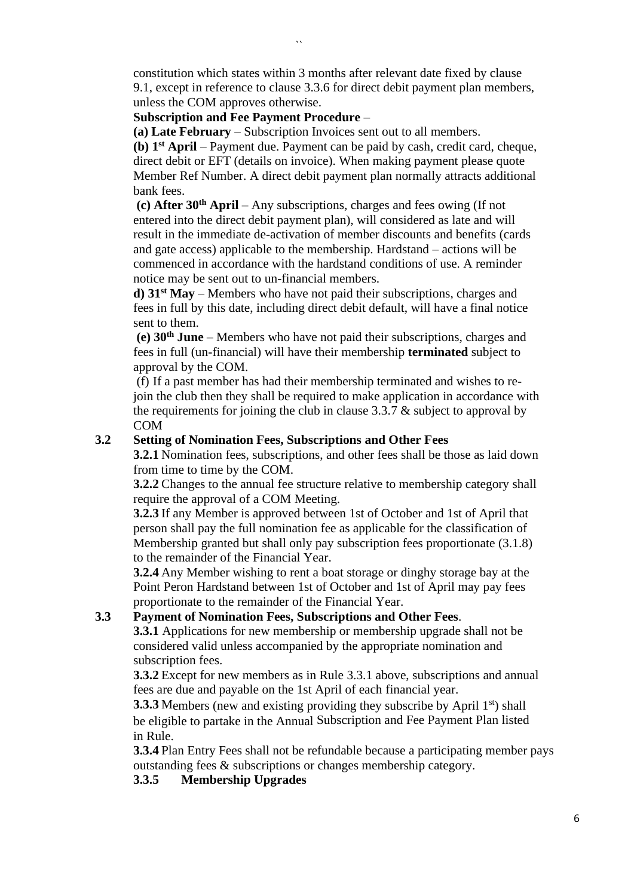constitution which states within 3 months after relevant date fixed by clause 9.1, except in reference to clause 3.3.6 for direct debit payment plan members, unless the COM approves otherwise.

### **Subscription and Fee Payment Procedure** –

**(a) Late February** – Subscription Invoices sent out to all members.

**(b) 1 st April** – Payment due. Payment can be paid by cash, credit card, cheque, direct debit or EFT (details on invoice). When making payment please quote Member Ref Number. A direct debit payment plan normally attracts additional bank fees.

**(c) After 30th April** – Any subscriptions, charges and fees owing (If not entered into the direct debit payment plan), will considered as late and will result in the immediate de-activation of member discounts and benefits (cards and gate access) applicable to the membership. Hardstand – actions will be commenced in accordance with the hardstand conditions of use. A reminder notice may be sent out to un-financial members.

**d) 31st May** – Members who have not paid their subscriptions, charges and fees in full by this date, including direct debit default, will have a final notice sent to them.

**(e) 30th June** – Members who have not paid their subscriptions, charges and fees in full (un-financial) will have their membership **terminated** subject to approval by the COM.

(f) If a past member has had their membership terminated and wishes to rejoin the club then they shall be required to make application in accordance with the requirements for joining the club in clause 3.3.7 & subject to approval by COM

### **3.2 Setting of Nomination Fees, Subscriptions and Other Fees**

**3.2.1** Nomination fees, subscriptions, and other fees shall be those as laid down from time to time by the COM.

**3.2.2** Changes to the annual fee structure relative to membership category shall require the approval of a COM Meeting.

**3.2.3** If any Member is approved between 1st of October and 1st of April that person shall pay the full nomination fee as applicable for the classification of Membership granted but shall only pay subscription fees proportionate (3.1.8) to the remainder of the Financial Year.

**3.2.4** Any Member wishing to rent a boat storage or dinghy storage bay at the Point Peron Hardstand between 1st of October and 1st of April may pay fees proportionate to the remainder of the Financial Year.

### **3.3 Payment of Nomination Fees, Subscriptions and Other Fees**.

**3.3.1** Applications for new membership or membership upgrade shall not be considered valid unless accompanied by the appropriate nomination and subscription fees.

**3.3.2** Except for new members as in Rule 3.3.1 above, subscriptions and annual fees are due and payable on the 1st April of each financial year.

**3.3.3** Members (new and existing providing they subscribe by April 1<sup>st</sup>) shall be eligible to partake in the Annual Subscription and Fee Payment Plan listed in Rule.

**3.3.4** Plan Entry Fees shall not be refundable because a participating member pays outstanding fees & subscriptions or changes membership category.

**3.3.5 Membership Upgrades**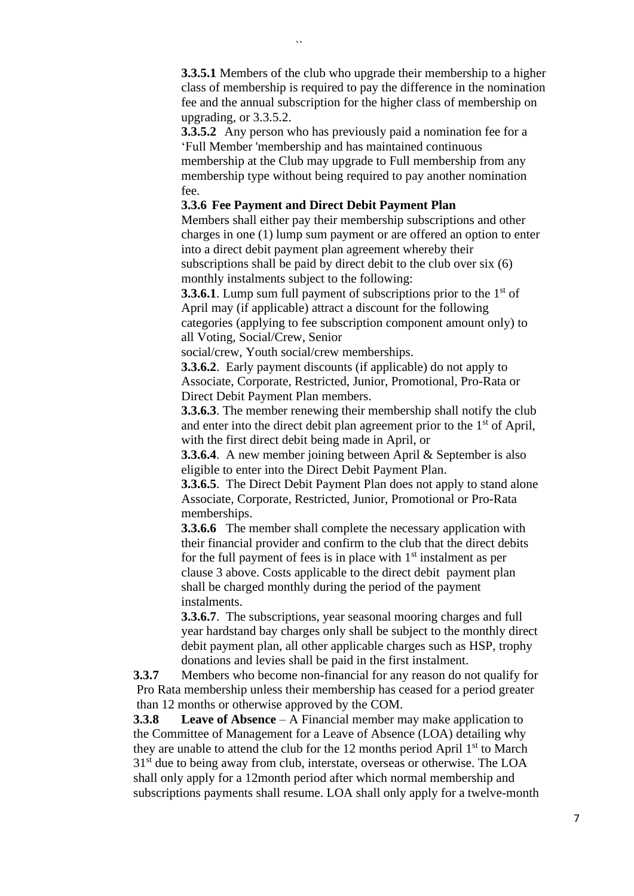**3.3.5.1** Members of the club who upgrade their membership to a higher class of membership is required to pay the difference in the nomination fee and the annual subscription for the higher class of membership on upgrading, or 3.3.5.2.

**3.3.5.2** Any person who has previously paid a nomination fee for a 'Full Member 'membership and has maintained continuous

membership at the Club may upgrade to Full membership from any membership type without being required to pay another nomination fee.

### **3.3.6 Fee Payment and Direct Debit Payment Plan**

Members shall either pay their membership subscriptions and other charges in one (1) lump sum payment or are offered an option to enter into a direct debit payment plan agreement whereby their subscriptions shall be paid by direct debit to the club over six (6) monthly instalments subject to the following:

**3.3.6.1**. Lump sum full payment of subscriptions prior to the 1<sup>st</sup> of April may (if applicable) attract a discount for the following categories (applying to fee subscription component amount only) to all Voting, Social/Crew, Senior

social/crew, Youth social/crew memberships.

**3.3.6.2**. Early payment discounts (if applicable) do not apply to Associate, Corporate, Restricted, Junior, Promotional, Pro-Rata or Direct Debit Payment Plan members.

**3.3.6.3**. The member renewing their membership shall notify the club and enter into the direct debit plan agreement prior to the  $1<sup>st</sup>$  of April, with the first direct debit being made in April, or

**3.3.6.4**. A new member joining between April & September is also eligible to enter into the Direct Debit Payment Plan.

**3.3.6.5**. The Direct Debit Payment Plan does not apply to stand alone Associate, Corporate, Restricted, Junior, Promotional or Pro-Rata memberships.

**3.3.6.6** The member shall complete the necessary application with their financial provider and confirm to the club that the direct debits for the full payment of fees is in place with  $1<sup>st</sup>$  instalment as per clause 3 above. Costs applicable to the direct debit payment plan shall be charged monthly during the period of the payment instalments.

**3.3.6.7**. The subscriptions, year seasonal mooring charges and full year hardstand bay charges only shall be subject to the monthly direct debit payment plan, all other applicable charges such as HSP, trophy donations and levies shall be paid in the first instalment.

**3.3.7** Members who become non-financial for any reason do not qualify for Pro Rata membership unless their membership has ceased for a period greater than 12 months or otherwise approved by the COM.

**3.3.8 Leave of Absence** – A Financial member may make application to the Committee of Management for a Leave of Absence (LOA) detailing why they are unable to attend the club for the 12 months period April  $1<sup>st</sup>$  to March 31<sup>st</sup> due to being away from club, interstate, overseas or otherwise. The LOA shall only apply for a 12month period after which normal membership and subscriptions payments shall resume. LOA shall only apply for a twelve-month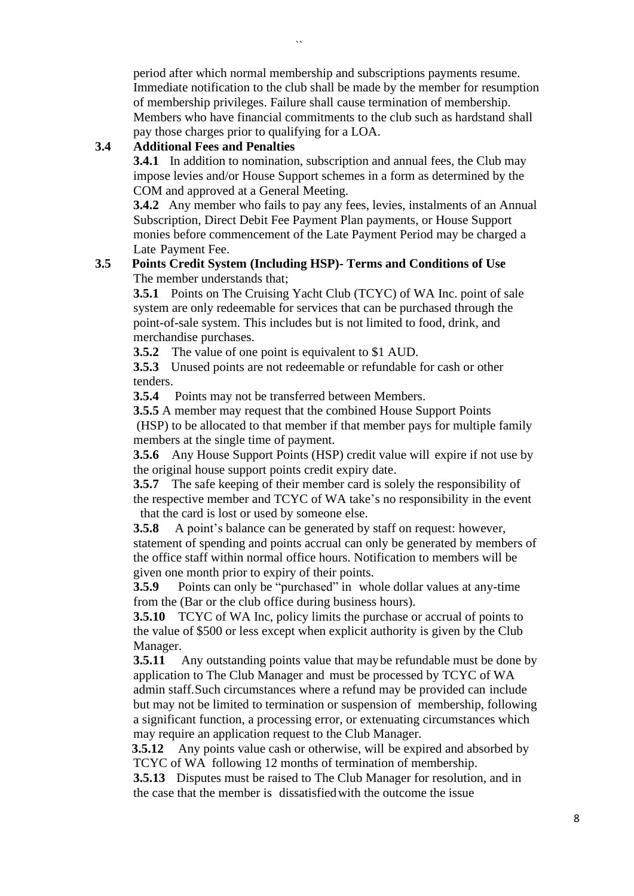period after which normal membership and subscriptions payments resume. Immediate notification to the club shall be made by the member for resumption of membership privileges. Failure shall cause termination of membership. Members who have financial commitments to the club such as hardstand shall

### **3.4 Additional Fees and Penalties**

**3.4.1** In addition to nomination, subscription and annual fees, the Club may impose levies and/or House Support schemes in a form as determined by the COM and approved at a General Meeting.

**3.4.2** Any member who fails to pay any fees, levies, instalments of an Annual Subscription, Direct Debit Fee Payment Plan payments, or House Support monies before commencement of the Late Payment Period may be charged a Late Payment Fee.

### **3.5 Points Credit System (Including HSP)- Terms and Conditions of Use** The member understands that;

**3.5.1** Points on The Cruising Yacht Club (TCYC) of WA Inc. point of sale system are only redeemable for services that can be purchased through the point-of-sale system. This includes but is not limited to food, drink, and merchandise purchases.

**3.5.2** The value of one point is equivalent to \$1 AUD.

**3.5.3** Unused points are not redeemable or refundable for cash or other tenders.

**3.5.4** Points may not be transferred between Members.

**3.5.5** A member may request that the combined House Support Points (HSP) to be allocated to that member if that member pays for multiple family members at the single time of payment.

**3.5.6** Any House Support Points (HSP) credit value will expire if not use by the original house support points credit expiry date.

**3.5.7** The safe keeping of their member card is solely the responsibility of the respective member and TCYC of WA take's no responsibility in the event that the card is lost or used by someone else.

**3.5.8** A point's balance can be generated by staff on request: however, statement of spending and points accrual can only be generated by members of the office staff within normal office hours. Notification to members will be given one month prior to expiry of their points.

**3.5.9** Points can only be "purchased" in whole dollar values at any-time from the (Bar or the club office during business hours).

**3.5.10** TCYC of WA Inc, policy limits the purchase or accrual of points to the value of \$500 or less except when explicit authority is given by the Club Manager.

**3.5.11** Any outstanding points value that may be refundable must be done by application to The Club Manager and must be processed by TCYC of WA admin staff.Such circumstances where a refund may be provided can include but may not be limited to termination or suspension of membership, following a significant function, a processing error, or extenuating circumstances which may require an application request to the Club Manager.

**3.5.12** Any points value cash or otherwise, will be expired and absorbed by TCYC of WA following 12 months of termination of membership.

**3.5.13** Disputes must be raised to The Club Manager for resolution, and in the case that the member is dissatisfiedwith the outcome the issue

pay those charges prior to qualifying for a LOA.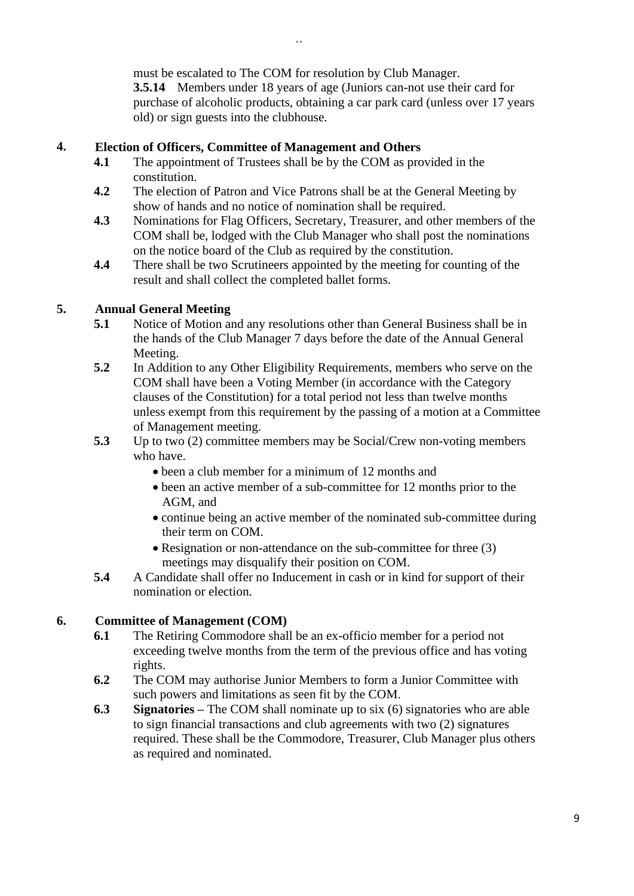must be escalated to The COM for resolution by Club Manager. **3.5.14** Members under 18 years of age (Juniors can-not use their card for purchase of alcoholic products, obtaining a car park card (unless over 17 years old) or sign guests into the clubhouse.

# **4. Election of Officers, Committee of Management and Others**

- **4.1** The appointment of Trustees shall be by the COM as provided in the constitution.
- **4.2** The election of Patron and Vice Patrons shall be at the General Meeting by show of hands and no notice of nomination shall be required.
- **4.3** Nominations for Flag Officers, Secretary, Treasurer, and other members of the COM shall be, lodged with the Club Manager who shall post the nominations on the notice board of the Club as required by the constitution.
- **4.4** There shall be two Scrutineers appointed by the meeting for counting of the result and shall collect the completed ballet forms.

# **5. Annual General Meeting**

- **5.1** Notice of Motion and any resolutions other than General Business shall be in the hands of the Club Manager 7 days before the date of the Annual General Meeting.
- **5.2** In Addition to any Other Eligibility Requirements, members who serve on the COM shall have been a Voting Member (in accordance with the Category clauses of the Constitution) for a total period not less than twelve months unless exempt from this requirement by the passing of a motion at a Committee of Management meeting.
- **5.3** Up to two (2) committee members may be Social/Crew non-voting members who have.
	- been a club member for a minimum of 12 months and
	- been an active member of a sub-committee for 12 months prior to the AGM, and
	- continue being an active member of the nominated sub-committee during their term on COM.
	- Resignation or non-attendance on the sub-committee for three (3) meetings may disqualify their position on COM.
- **5.4** A Candidate shall offer no Inducement in cash or in kind for support of their nomination or election.

### **6. Committee of Management (COM)**

- **6.1** The Retiring Commodore shall be an ex-officio member for a period not exceeding twelve months from the term of the previous office and has voting rights.
- **6.2** The COM may authorise Junior Members to form a Junior Committee with such powers and limitations as seen fit by the COM.
- **6.3 Signatories –** The COM shall nominate up to six (6) signatories who are able to sign financial transactions and club agreements with two (2) signatures required. These shall be the Commodore, Treasurer, Club Manager plus others as required and nominated.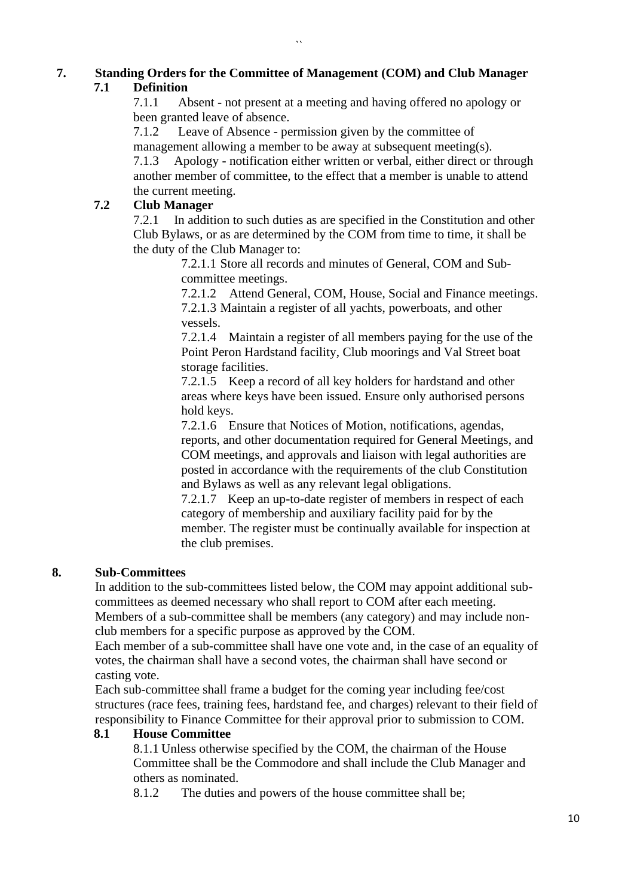# **7. Standing Orders for the Committee of Management (COM) and Club Manager 7.1 Definition**

 $\ddot{\phantom{0}}$ 

7.1.1 Absent - not present at a meeting and having offered no apology or been granted leave of absence.

7.1.2 Leave of Absence - permission given by the committee of

management allowing a member to be away at subsequent meeting(s).

7.1.3 Apology - notification either written or verbal, either direct or through another member of committee, to the effect that a member is unable to attend the current meeting.

# **7.2 Club Manager**

7.2.1 In addition to such duties as are specified in the Constitution and other Club Bylaws, or as are determined by the COM from time to time, it shall be the duty of the Club Manager to:

> 7.2.1.1 Store all records and minutes of General, COM and Subcommittee meetings.

7.2.1.2 Attend General, COM, House, Social and Finance meetings. 7.2.1.3 Maintain a register of all yachts, powerboats, and other vessels.

7.2.1.4 Maintain a register of all members paying for the use of the Point Peron Hardstand facility, Club moorings and Val Street boat storage facilities.

7.2.1.5 Keep a record of all key holders for hardstand and other areas where keys have been issued. Ensure only authorised persons hold keys.

7.2.1.6 Ensure that Notices of Motion, notifications, agendas, reports, and other documentation required for General Meetings, and COM meetings, and approvals and liaison with legal authorities are posted in accordance with the requirements of the club Constitution and Bylaws as well as any relevant legal obligations.

7.2.1.7 Keep an up-to-date register of members in respect of each category of membership and auxiliary facility paid for by the member. The register must be continually available for inspection at the club premises.

# **8. Sub-Committees**

In addition to the sub-committees listed below, the COM may appoint additional subcommittees as deemed necessary who shall report to COM after each meeting. Members of a sub-committee shall be members (any category) and may include nonclub members for a specific purpose as approved by the COM.

Each member of a sub-committee shall have one vote and, in the case of an equality of votes, the chairman shall have a second votes, the chairman shall have second or casting vote.

Each sub-committee shall frame a budget for the coming year including fee/cost structures (race fees, training fees, hardstand fee, and charges) relevant to their field of responsibility to Finance Committee for their approval prior to submission to COM.

# **8.1 House Committee**

8.1.1 Unless otherwise specified by the COM, the chairman of the House Committee shall be the Commodore and shall include the Club Manager and others as nominated.

8.1.2 The duties and powers of the house committee shall be;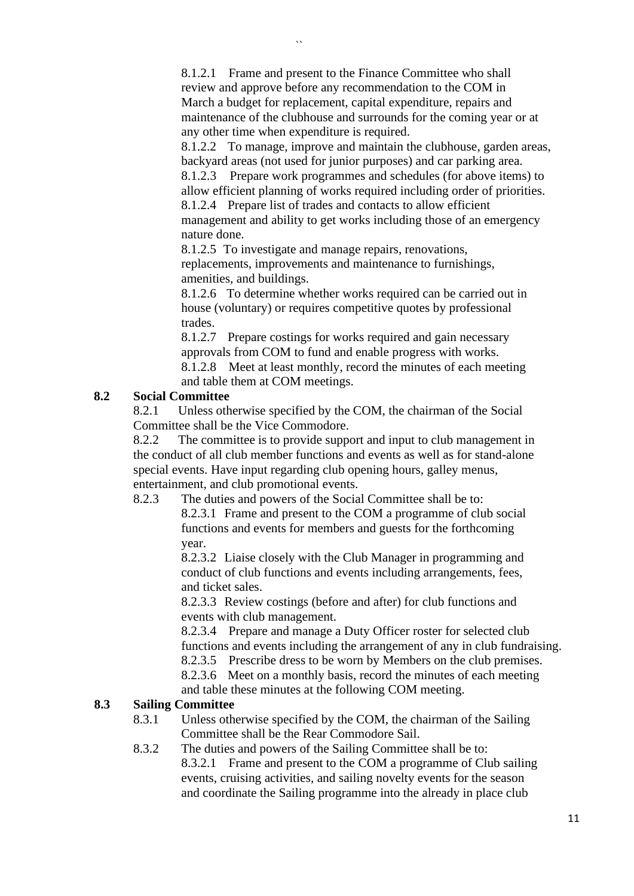8.1.2.1 Frame and present to the Finance Committee who shall review and approve before any recommendation to the COM in March a budget for replacement, capital expenditure, repairs and maintenance of the clubhouse and surrounds for the coming year or at any other time when expenditure is required.

8.1.2.2 To manage, improve and maintain the clubhouse, garden areas, backyard areas (not used for junior purposes) and car parking area.

8.1.2.3 Prepare work programmes and schedules (for above items) to allow efficient planning of works required including order of priorities. 8.1.2.4 Prepare list of trades and contacts to allow efficient

management and ability to get works including those of an emergency nature done.

8.1.2.5 To investigate and manage repairs, renovations, replacements, improvements and maintenance to furnishings, amenities, and buildings.

8.1.2.6 To determine whether works required can be carried out in house (voluntary) or requires competitive quotes by professional trades.

8.1.2.7 Prepare costings for works required and gain necessary approvals from COM to fund and enable progress with works. 8.1.2.8 Meet at least monthly, record the minutes of each meeting and table them at COM meetings.

### **8.2 Social Committee**

8.2.1 Unless otherwise specified by the COM, the chairman of the Social Committee shall be the Vice Commodore.

8.2.2 The committee is to provide support and input to club management in the conduct of all club member functions and events as well as for stand-alone special events. Have input regarding club opening hours, galley menus, entertainment, and club promotional events.

8.2.3 The duties and powers of the Social Committee shall be to:

8.2.3.1 Frame and present to the COM a programme of club social functions and events for members and guests for the forthcoming year.

8.2.3.2 Liaise closely with the Club Manager in programming and conduct of club functions and events including arrangements, fees, and ticket sales.

8.2.3.3 Review costings (before and after) for club functions and events with club management.

8.2.3.4 Prepare and manage a Duty Officer roster for selected club functions and events including the arrangement of any in club fundraising. 8.2.3.5 Prescribe dress to be worn by Members on the club premises. 8.2.3.6 Meet on a monthly basis, record the minutes of each meeting and table these minutes at the following COM meeting.

# **8.3 Sailing Committee**

- 8.3.1 Unless otherwise specified by the COM, the chairman of the Sailing Committee shall be the Rear Commodore Sail.
- 8.3.2 The duties and powers of the Sailing Committee shall be to: 8.3.2.1 Frame and present to the COM a programme of Club sailing events, cruising activities, and sailing novelty events for the season and coordinate the Sailing programme into the already in place club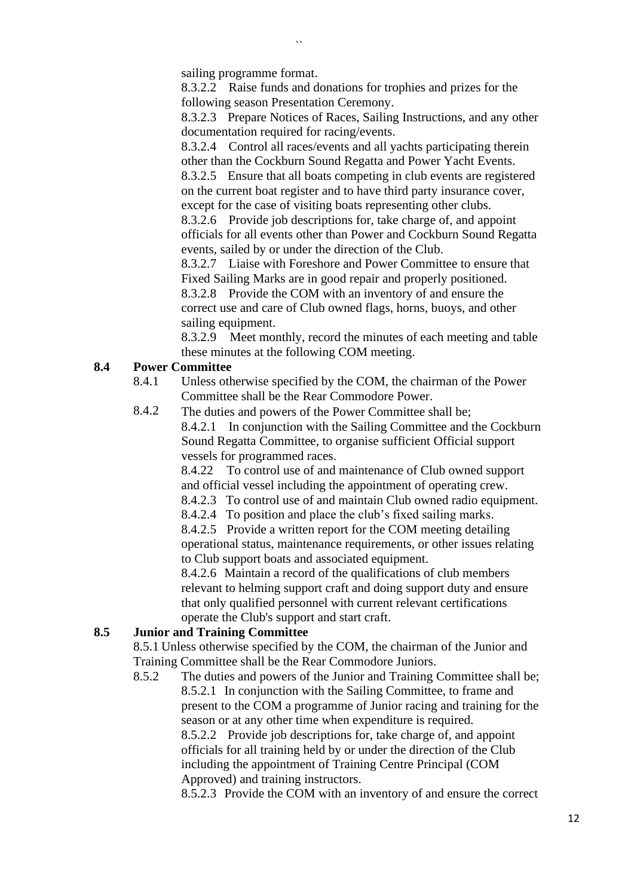sailing programme format.

8.3.2.2 Raise funds and donations for trophies and prizes for the following season Presentation Ceremony.

8.3.2.3 Prepare Notices of Races, Sailing Instructions, and any other documentation required for racing/events.

8.3.2.4 Control all races/events and all yachts participating therein other than the Cockburn Sound Regatta and Power Yacht Events.

8.3.2.5 Ensure that all boats competing in club events are registered on the current boat register and to have third party insurance cover, except for the case of visiting boats representing other clubs.

8.3.2.6 Provide job descriptions for, take charge of, and appoint officials for all events other than Power and Cockburn Sound Regatta events, sailed by or under the direction of the Club.

8.3.2.7 Liaise with Foreshore and Power Committee to ensure that Fixed Sailing Marks are in good repair and properly positioned. 8.3.2.8 Provide the COM with an inventory of and ensure the correct use and care of Club owned flags, horns, buoys, and other sailing equipment.

8.3.2.9 Meet monthly, record the minutes of each meeting and table these minutes at the following COM meeting.

### **8.4 Power Committee**

- 8.4.1 Unless otherwise specified by the COM, the chairman of the Power Committee shall be the Rear Commodore Power.
- 8.4.2 The duties and powers of the Power Committee shall be; 8.4.2.1 In conjunction with the Sailing Committee and the Cockburn Sound Regatta Committee, to organise sufficient Official support vessels for programmed races.

8.4.22 To control use of and maintenance of Club owned support and official vessel including the appointment of operating crew.

8.4.2.3 To control use of and maintain Club owned radio equipment.

8.4.2.4 To position and place the club's fixed sailing marks.

8.4.2.5 Provide a written report for the COM meeting detailing operational status, maintenance requirements, or other issues relating to Club support boats and associated equipment.

8.4.2.6 Maintain a record of the qualifications of club members relevant to helming support craft and doing support duty and ensure that only qualified personnel with current relevant certifications operate the Club's support and start craft.

# **8.5 Junior and Training Committee**

8.5.1 Unless otherwise specified by the COM, the chairman of the Junior and Training Committee shall be the Rear Commodore Juniors.

8.5.2 The duties and powers of the Junior and Training Committee shall be; 8.5.2.1 In conjunction with the Sailing Committee, to frame and present to the COM a programme of Junior racing and training for the season or at any other time when expenditure is required. 8.5.2.2 Provide job descriptions for, take charge of, and appoint officials for all training held by or under the direction of the Club including the appointment of Training Centre Principal (COM Approved) and training instructors.

8.5.2.3 Provide the COM with an inventory of and ensure the correct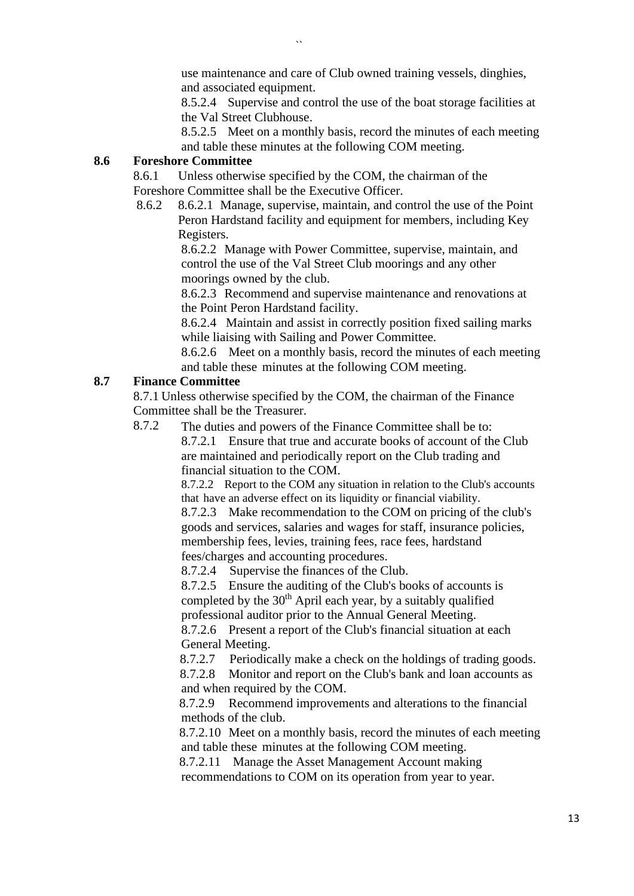use maintenance and care of Club owned training vessels, dinghies, and associated equipment.

8.5.2.4 Supervise and control the use of the boat storage facilities at the Val Street Clubhouse.

8.5.2.5 Meet on a monthly basis, record the minutes of each meeting and table these minutes at the following COM meeting.

### **8.6 Foreshore Committee**

8.6.1 Unless otherwise specified by the COM, the chairman of the Foreshore Committee shall be the Executive Officer.

 8.6.2 8.6.2.1 Manage, supervise, maintain, and control the use of the Point Peron Hardstand facility and equipment for members, including Key Registers.

8.6.2.2 Manage with Power Committee, supervise, maintain, and control the use of the Val Street Club moorings and any other moorings owned by the club.

8.6.2.3 Recommend and supervise maintenance and renovations at the Point Peron Hardstand facility.

8.6.2.4 Maintain and assist in correctly position fixed sailing marks while liaising with Sailing and Power Committee.

8.6.2.6 Meet on a monthly basis, record the minutes of each meeting and table these minutes at the following COM meeting.

# **8.7 Finance Committee**

8.7.1 Unless otherwise specified by the COM, the chairman of the Finance Committee shall be the Treasurer.

8.7.2 The duties and powers of the Finance Committee shall be to: 8.7.2.1 Ensure that true and accurate books of account of the Club are maintained and periodically report on the Club trading and financial situation to the COM.

> 8.7.2.2 Report to the COM any situation in relation to the Club's accounts that have an adverse effect on its liquidity or financial viability.

8.7.2.3 Make recommendation to the COM on pricing of the club's goods and services, salaries and wages for staff, insurance policies, membership fees, levies, training fees, race fees, hardstand fees/charges and accounting procedures.

8.7.2.4 Supervise the finances of the Club.

8.7.2.5 Ensure the auditing of the Club's books of accounts is completed by the  $30<sup>th</sup>$  April each year, by a suitably qualified professional auditor prior to the Annual General Meeting.

8.7.2.6 Present a report of the Club's financial situation at each General Meeting.

8.7.2.7 Periodically make a check on the holdings of trading goods.

8.7.2.8 Monitor and report on the Club's bank and loan accounts as and when required by the COM.

8.7.2.9 Recommend improvements and alterations to the financial methods of the club.

8.7.2.10 Meet on a monthly basis, record the minutes of each meeting and table these minutes at the following COM meeting.

8.7.2.11 Manage the Asset Management Account making

recommendations to COM on its operation from year to year.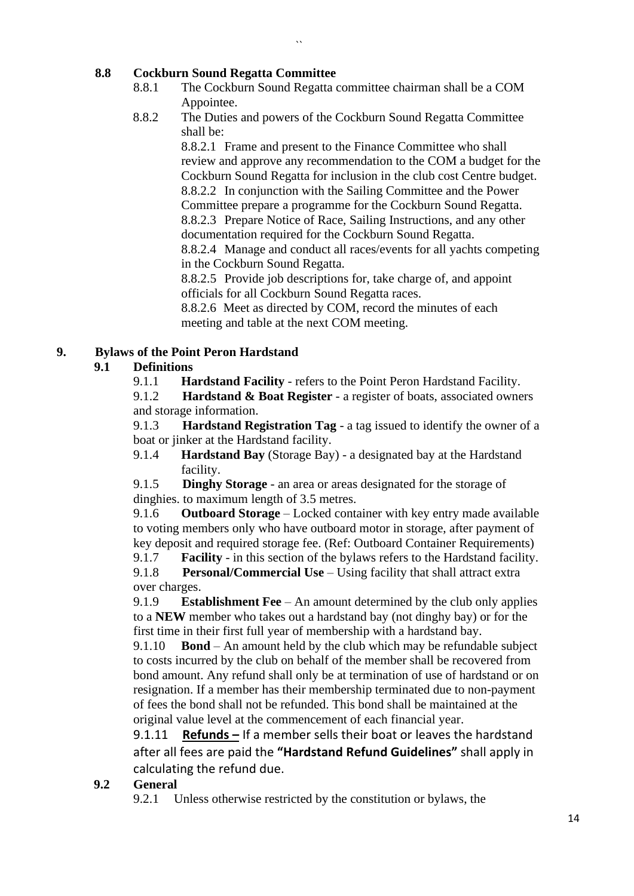# **8.8 Cockburn Sound Regatta Committee**

8.8.1 The Cockburn Sound Regatta committee chairman shall be a COM Appointee.

 $\ddot{\phantom{0}}$ 

8.8.2 The Duties and powers of the Cockburn Sound Regatta Committee shall be:

> 8.8.2.1 Frame and present to the Finance Committee who shall review and approve any recommendation to the COM a budget for the Cockburn Sound Regatta for inclusion in the club cost Centre budget. 8.8.2.2 In conjunction with the Sailing Committee and the Power Committee prepare a programme for the Cockburn Sound Regatta. 8.8.2.3 Prepare Notice of Race, Sailing Instructions, and any other documentation required for the Cockburn Sound Regatta.

> 8.8.2.4 Manage and conduct all races/events for all yachts competing in the Cockburn Sound Regatta.

8.8.2.5 Provide job descriptions for, take charge of, and appoint officials for all Cockburn Sound Regatta races.

8.8.2.6 Meet as directed by COM, record the minutes of each meeting and table at the next COM meeting.

# **9. Bylaws of the Point Peron Hardstand**

# **9.1 Definitions**

9.1.1 **Hardstand Facility** - refers to the Point Peron Hardstand Facility.

9.1.2 **Hardstand & Boat Register** - a register of boats, associated owners and storage information.

9.1.3 **Hardstand Registration Tag** - a tag issued to identify the owner of a boat or jinker at the Hardstand facility.

9.1.4 **Hardstand Bay** (Storage Bay) - a designated bay at the Hardstand facility.

9.1.5 **Dinghy Storage** - an area or areas designated for the storage of dinghies. to maximum length of 3.5 metres.

9.1.6 **Outboard Storage** – Locked container with key entry made available to voting members only who have outboard motor in storage, after payment of key deposit and required storage fee. (Ref: Outboard Container Requirements)

9.1.7 **Facility** - in this section of the bylaws refers to the Hardstand facility.

9.1.8 **Personal/Commercial Use** – Using facility that shall attract extra over charges.

9.1.9 **Establishment Fee** – An amount determined by the club only applies to a **NEW** member who takes out a hardstand bay (not dinghy bay) or for the first time in their first full year of membership with a hardstand bay.

9.1.10 **Bond** – An amount held by the club which may be refundable subject to costs incurred by the club on behalf of the member shall be recovered from bond amount. Any refund shall only be at termination of use of hardstand or on resignation. If a member has their membership terminated due to non-payment of fees the bond shall not be refunded. This bond shall be maintained at the original value level at the commencement of each financial year.

9.1.11 **Refunds –** If a member sells their boat or leaves the hardstand after all fees are paid the **"Hardstand Refund Guidelines"** shall apply in calculating the refund due.

# **9.2 General**

9.2.1 Unless otherwise restricted by the constitution or bylaws, the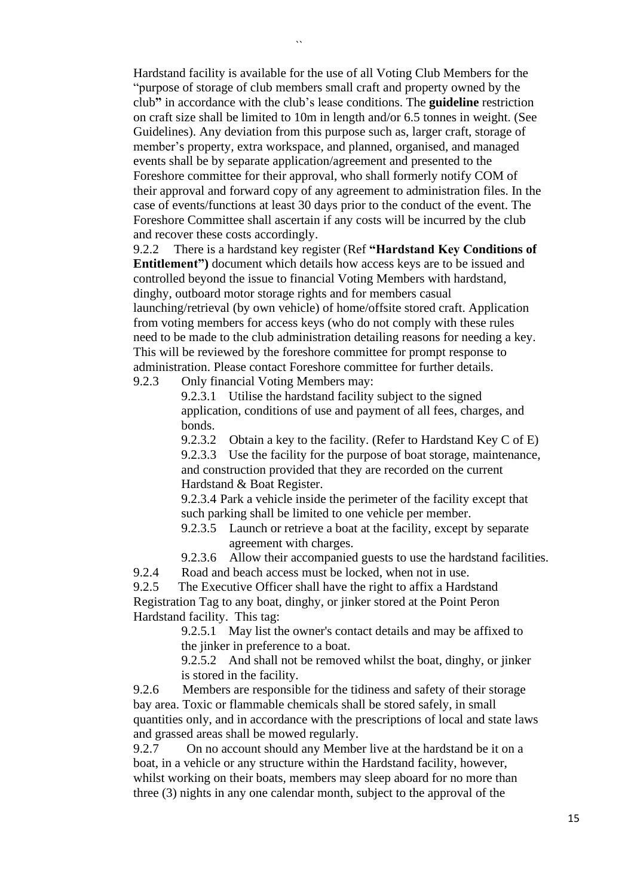$\ddot{\phantom{0}}$ 

Hardstand facility is available for the use of all Voting Club Members for the "purpose of storage of club members small craft and property owned by the club**"** in accordance with the club's lease conditions. The **guideline** restriction on craft size shall be limited to 10m in length and/or 6.5 tonnes in weight. (See Guidelines). Any deviation from this purpose such as, larger craft, storage of member's property, extra workspace, and planned, organised, and managed events shall be by separate application/agreement and presented to the Foreshore committee for their approval, who shall formerly notify COM of their approval and forward copy of any agreement to administration files. In the case of events/functions at least 30 days prior to the conduct of the event. The Foreshore Committee shall ascertain if any costs will be incurred by the club and recover these costs accordingly.

9.2.2 There is a hardstand key register (Ref **"Hardstand Key Conditions of Entitlement")** document which details how access keys are to be issued and controlled beyond the issue to financial Voting Members with hardstand, dinghy, outboard motor storage rights and for members casual launching/retrieval (by own vehicle) of home/offsite stored craft. Application from voting members for access keys (who do not comply with these rules need to be made to the club administration detailing reasons for needing a key. This will be reviewed by the foreshore committee for prompt response to administration. Please contact Foreshore committee for further details.

9.2.3 Only financial Voting Members may:

9.2.3.1 Utilise the hardstand facility subject to the signed application, conditions of use and payment of all fees, charges, and bonds.

9.2.3.2 Obtain a key to the facility. (Refer to Hardstand Key C of E) 9.2.3.3 Use the facility for the purpose of boat storage, maintenance, and construction provided that they are recorded on the current Hardstand & Boat Register.

9.2.3.4 Park a vehicle inside the perimeter of the facility except that such parking shall be limited to one vehicle per member.

9.2.3.5 Launch or retrieve a boat at the facility, except by separate agreement with charges.

9.2.3.6 Allow their accompanied guests to use the hardstand facilities.

9.2.4 Road and beach access must be locked, when not in use.

9.2.5 The Executive Officer shall have the right to affix a Hardstand Registration Tag to any boat, dinghy, or jinker stored at the Point Peron Hardstand facility. This tag:

> 9.2.5.1 May list the owner's contact details and may be affixed to the jinker in preference to a boat.

9.2.5.2 And shall not be removed whilst the boat, dinghy, or jinker is stored in the facility.

9.2.6 Members are responsible for the tidiness and safety of their storage bay area. Toxic or flammable chemicals shall be stored safely, in small quantities only, and in accordance with the prescriptions of local and state laws and grassed areas shall be mowed regularly.

9.2.7 On no account should any Member live at the hardstand be it on a boat, in a vehicle or any structure within the Hardstand facility, however, whilst working on their boats, members may sleep aboard for no more than three (3) nights in any one calendar month, subject to the approval of the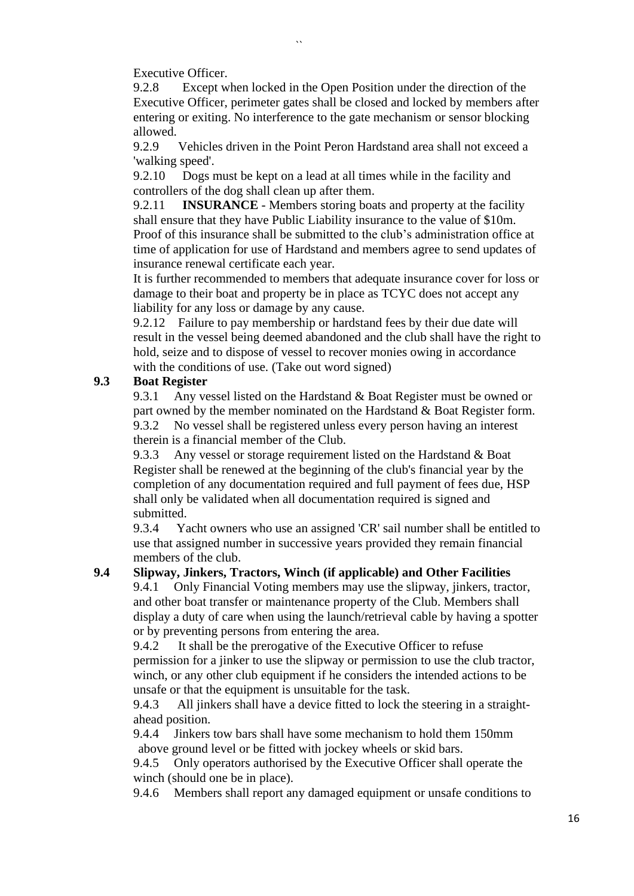Executive Officer.<br>9.2.8 Except w Except when locked in the Open Position under the direction of the Executive Officer, perimeter gates shall be closed and locked by members after entering or exiting. No interference to the gate mechanism or sensor blocking allowed.

9.2.9 Vehicles driven in the Point Peron Hardstand area shall not exceed a 'walking speed'.

9.2.10 Dogs must be kept on a lead at all times while in the facility and controllers of the dog shall clean up after them.

 $\ddot{\phantom{a}}$ 

9.2.11 **INSURANCE** - Members storing boats and property at the facility shall ensure that they have Public Liability insurance to the value of \$10m. Proof of this insurance shall be submitted to the club's administration office at time of application for use of Hardstand and members agree to send updates of insurance renewal certificate each year.

It is further recommended to members that adequate insurance cover for loss or damage to their boat and property be in place as TCYC does not accept any liability for any loss or damage by any cause.

9.2.12 Failure to pay membership or hardstand fees by their due date will result in the vessel being deemed abandoned and the club shall have the right to hold, seize and to dispose of vessel to recover monies owing in accordance with the conditions of use. (Take out word signed)

# **9.3 Boat Register**

9.3.1 Any vessel listed on the Hardstand & Boat Register must be owned or part owned by the member nominated on the Hardstand & Boat Register form. 9.3.2 No vessel shall be registered unless every person having an interest therein is a financial member of the Club.

9.3.3 Any vessel or storage requirement listed on the Hardstand & Boat Register shall be renewed at the beginning of the club's financial year by the completion of any documentation required and full payment of fees due, HSP shall only be validated when all documentation required is signed and submitted.

9.3.4 Yacht owners who use an assigned 'CR' sail number shall be entitled to use that assigned number in successive years provided they remain financial members of the club.

### **9.4 Slipway, Jinkers, Tractors, Winch (if applicable) and Other Facilities**

9.4.1 Only Financial Voting members may use the slipway, jinkers, tractor, and other boat transfer or maintenance property of the Club. Members shall display a duty of care when using the launch/retrieval cable by having a spotter or by preventing persons from entering the area.

9.4.2 It shall be the prerogative of the Executive Officer to refuse permission for a jinker to use the slipway or permission to use the club tractor, winch, or any other club equipment if he considers the intended actions to be unsafe or that the equipment is unsuitable for the task.

9.4.3 All jinkers shall have a device fitted to lock the steering in a straightahead position.

9.4.4 Jinkers tow bars shall have some mechanism to hold them 150mm above ground level or be fitted with jockey wheels or skid bars.

9.4.5 Only operators authorised by the Executive Officer shall operate the winch (should one be in place).

9.4.6 Members shall report any damaged equipment or unsafe conditions to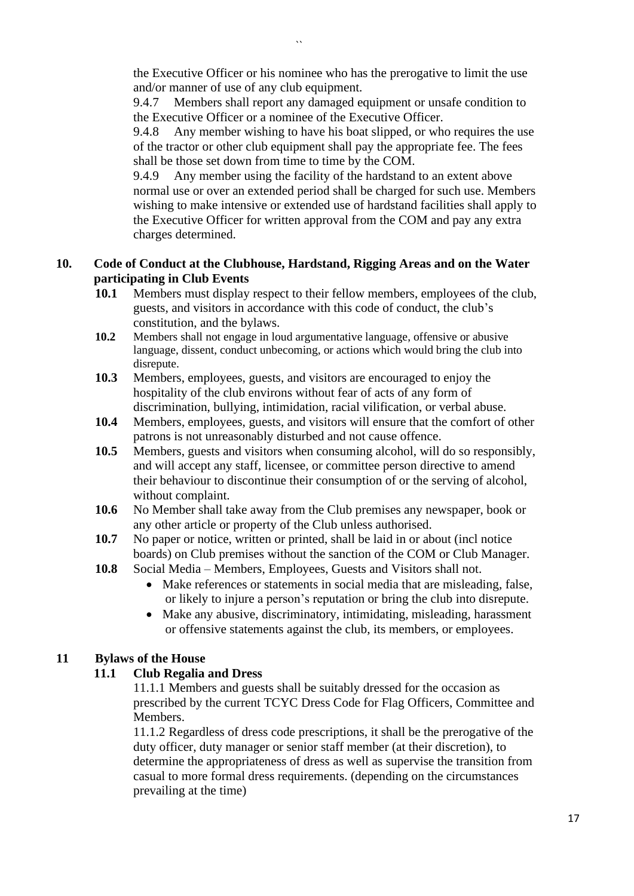the Executive Officer or his nominee who has the prerogative to limit the use and/or manner of use of any club equipment.

9.4.7 Members shall report any damaged equipment or unsafe condition to the Executive Officer or a nominee of the Executive Officer.

9.4.8 Any member wishing to have his boat slipped, or who requires the use of the tractor or other club equipment shall pay the appropriate fee. The fees shall be those set down from time to time by the COM.

9.4.9 Any member using the facility of the hardstand to an extent above normal use or over an extended period shall be charged for such use. Members wishing to make intensive or extended use of hardstand facilities shall apply to the Executive Officer for written approval from the COM and pay any extra charges determined.

# **10. Code of Conduct at the Clubhouse, Hardstand, Rigging Areas and on the Water participating in Club Events**

- **10.1** Members must display respect to their fellow members, employees of the club, guests, and visitors in accordance with this code of conduct, the club's constitution, and the bylaws.
- **10.2** Members shall not engage in loud argumentative language, offensive or abusive language, dissent, conduct unbecoming, or actions which would bring the club into disrepute.
- **10.3** Members, employees, guests, and visitors are encouraged to enjoy the hospitality of the club environs without fear of acts of any form of discrimination, bullying, intimidation, racial vilification, or verbal abuse.
- **10.4** Members, employees, guests, and visitors will ensure that the comfort of other patrons is not unreasonably disturbed and not cause offence.
- **10.5** Members, guests and visitors when consuming alcohol, will do so responsibly, and will accept any staff, licensee, or committee person directive to amend their behaviour to discontinue their consumption of or the serving of alcohol, without complaint.
- **10.6** No Member shall take away from the Club premises any newspaper, book or any other article or property of the Club unless authorised.
- **10.7** No paper or notice, written or printed, shall be laid in or about (incl notice boards) on Club premises without the sanction of the COM or Club Manager.
- **10.8** Social Media Members, Employees, Guests and Visitors shall not.
	- Make references or statements in social media that are misleading, false, or likely to injure a person's reputation or bring the club into disrepute.
	- Make any abusive, discriminatory, intimidating, misleading, harassment or offensive statements against the club, its members, or employees.

### **11 Bylaws of the House**

### **11.1 Club Regalia and Dress**

11.1.1 Members and guests shall be suitably dressed for the occasion as prescribed by the current TCYC Dress Code for Flag Officers, Committee and Members.

11.1.2 Regardless of dress code prescriptions, it shall be the prerogative of the duty officer, duty manager or senior staff member (at their discretion), to determine the appropriateness of dress as well as supervise the transition from casual to more formal dress requirements. (depending on the circumstances prevailing at the time)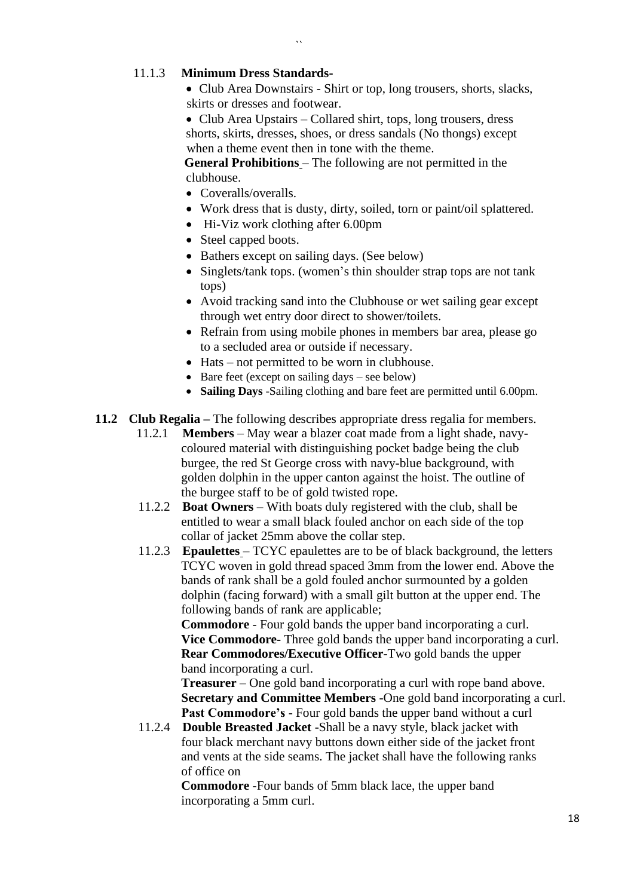### 11.1.3 **Minimum Dress Standards-**

• Club Area Downstairs - Shirt or top, long trousers, shorts, slacks, skirts or dresses and footwear.

• Club Area Upstairs – Collared shirt, tops, long trousers, dress shorts, skirts, dresses, shoes, or dress sandals (No thongs) except when a theme event then in tone with the theme.

**General Prohibitions** – The following are not permitted in the clubhouse.

- Coveralls/overalls.
- Work dress that is dusty, dirty, soiled, torn or paint/oil splattered.
- Hi-Viz work clothing after 6.00pm

 $\ddot{\phantom{a}}$ 

- Steel capped boots.
- Bathers except on sailing days. (See below)
- Singlets/tank tops. (women's thin shoulder strap tops are not tank tops)
- Avoid tracking sand into the Clubhouse or wet sailing gear except through wet entry door direct to shower/toilets.
- Refrain from using mobile phones in members bar area, please go to a secluded area or outside if necessary.
- Hats not permitted to be worn in clubhouse.
- Bare feet (except on sailing days see below)
- **Sailing Days** -Sailing clothing and bare feet are permitted until 6.00pm.
- **11.2 Club Regalia –** The following describes appropriate dress regalia for members.
	- 11.2.1 **Members** May wear a blazer coat made from a light shade, navycoloured material with distinguishing pocket badge being the club burgee, the red St George cross with navy-blue background, with golden dolphin in the upper canton against the hoist. The outline of the burgee staff to be of gold twisted rope.
	- 11.2.2 **Boat Owners** With boats duly registered with the club, shall be entitled to wear a small black fouled anchor on each side of the top collar of jacket 25mm above the collar step.
	- 11.2.3 **Epaulettes** TCYC epaulettes are to be of black background, the letters TCYC woven in gold thread spaced 3mm from the lower end. Above the bands of rank shall be a gold fouled anchor surmounted by a golden dolphin (facing forward) with a small gilt button at the upper end. The following bands of rank are applicable;

**Commodore** - Four gold bands the upper band incorporating a curl. **Vice Commodore-** Three gold bands the upper band incorporating a curl. **Rear Commodores/Executive Officer**-Two gold bands the upper band incorporating a curl.

**Treasurer** – One gold band incorporating a curl with rope band above. **Secretary and Committee Members** -One gold band incorporating a curl. **Past Commodore's** - Four gold bands the upper band without a curl

11.2.4 **Double Breasted Jacket** -Shall be a navy style, black jacket with four black merchant navy buttons down either side of the jacket front and vents at the side seams. The jacket shall have the following ranks of office on

**Commodore** -Four bands of 5mm black lace, the upper band incorporating a 5mm curl.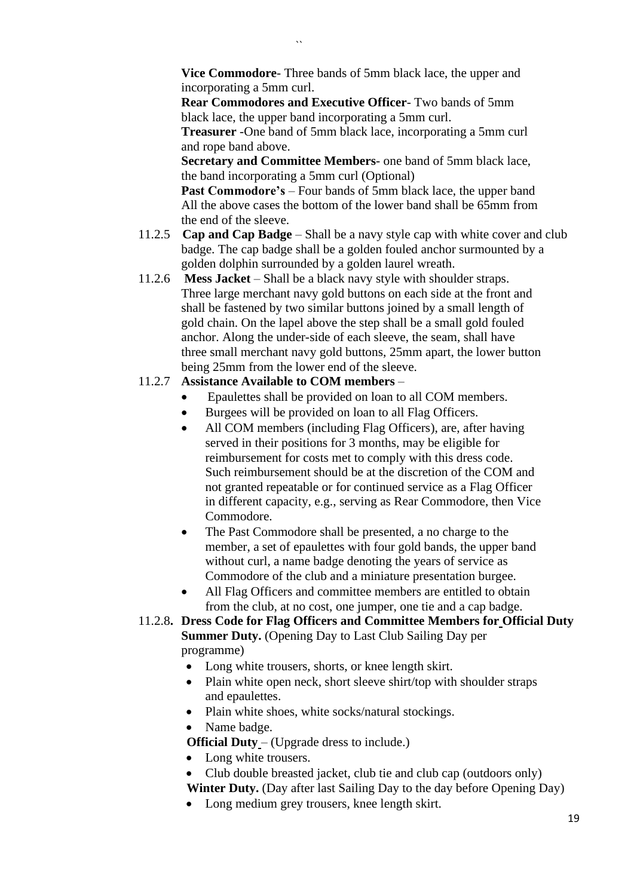**Vice Commodore**- Three bands of 5mm black lace, the upper and incorporating a 5mm curl.

**Rear Commodores and Executive Officer**- Two bands of 5mm black lace, the upper band incorporating a 5mm curl.

**Treasurer** -One band of 5mm black lace, incorporating a 5mm curl and rope band above.

**Secretary and Committee Members**- one band of 5mm black lace, the band incorporating a 5mm curl (Optional)

**Past Commodore's** – Four bands of 5mm black lace, the upper band All the above cases the bottom of the lower band shall be 65mm from the end of the sleeve.

- 11.2.5 **Cap and Cap Badge** Shall be a navy style cap with white cover and club badge. The cap badge shall be a golden fouled anchor surmounted by a golden dolphin surrounded by a golden laurel wreath.
- 11.2.6 **Mess Jacket** Shall be a black navy style with shoulder straps. Three large merchant navy gold buttons on each side at the front and shall be fastened by two similar buttons joined by a small length of gold chain. On the lapel above the step shall be a small gold fouled anchor. Along the under-side of each sleeve, the seam, shall have three small merchant navy gold buttons, 25mm apart, the lower button being 25mm from the lower end of the sleeve.

# 11.2.7 **Assistance Available to COM members** –

- Epaulettes shall be provided on loan to all COM members.
- Burgees will be provided on loan to all Flag Officers.
- All COM members (including Flag Officers), are, after having served in their positions for 3 months, may be eligible for reimbursement for costs met to comply with this dress code. Such reimbursement should be at the discretion of the COM and not granted repeatable or for continued service as a Flag Officer in different capacity, e.g., serving as Rear Commodore, then Vice Commodore.
- The Past Commodore shall be presented, a no charge to the member, a set of epaulettes with four gold bands, the upper band without curl, a name badge denoting the years of service as Commodore of the club and a miniature presentation burgee.
- All Flag Officers and committee members are entitled to obtain from the club, at no cost, one jumper, one tie and a cap badge.
- 11.2.8**. Dress Code for Flag Officers and Committee Members for Official Duty Summer Duty.** (Opening Day to Last Club Sailing Day per programme)
	- Long white trousers, shorts, or knee length skirt.
	- Plain white open neck, short sleeve shirt/top with shoulder straps and epaulettes.
	- Plain white shoes, white socks/natural stockings.
	- Name badge.
	- **Official Duty** (Upgrade dress to include.)
	- Long white trousers.
	- Club double breasted jacket, club tie and club cap (outdoors only) **Winter Duty.** (Day after last Sailing Day to the day before Opening Day)
	- Long medium grey trousers, knee length skirt.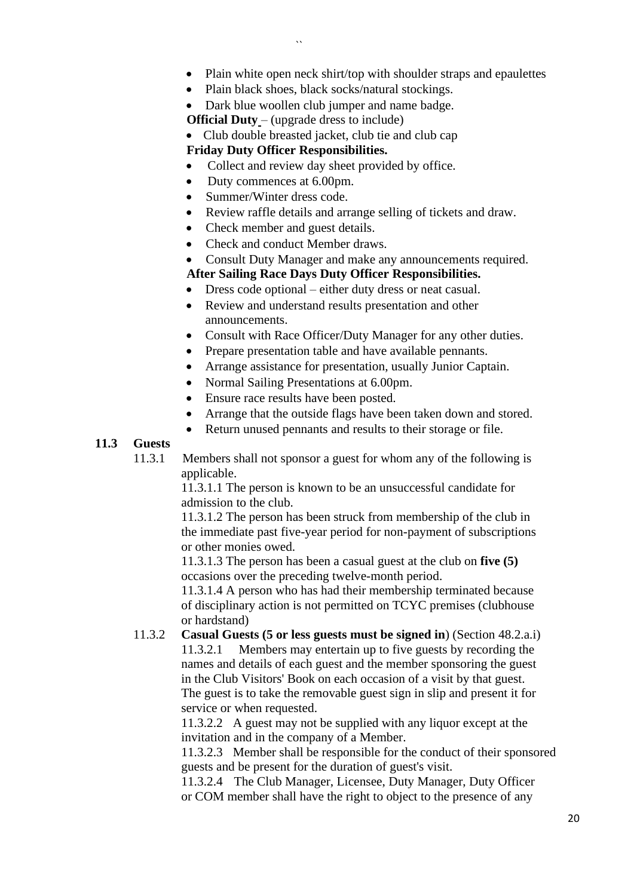- Plain white open neck shirt/top with shoulder straps and epaulettes
- Plain black shoes, black socks/natural stockings.

• Dark blue woollen club jumper and name badge.

**Official Duty** – (upgrade dress to include)

• Club double breasted jacket, club tie and club cap

# **Friday Duty Officer Responsibilities.**

- Collect and review day sheet provided by office.
- Duty commences at 6.00pm.
- Summer/Winter dress code.
- Review raffle details and arrange selling of tickets and draw.
- Check member and guest details.
- Check and conduct Member draws.
- Consult Duty Manager and make any announcements required.

# **After Sailing Race Days Duty Officer Responsibilities.**

- Dress code optional either duty dress or neat casual.
- Review and understand results presentation and other announcements.
- Consult with Race Officer/Duty Manager for any other duties.
- Prepare presentation table and have available pennants.
- Arrange assistance for presentation, usually Junior Captain.
- Normal Sailing Presentations at 6.00pm.
- Ensure race results have been posted.
- Arrange that the outside flags have been taken down and stored.
- Return unused pennants and results to their storage or file.

# **11.3 Guests**

11.3.1 Members shall not sponsor a guest for whom any of the following is applicable.

> 11.3.1.1 The person is known to be an unsuccessful candidate for admission to the club.

11.3.1.2 The person has been struck from membership of the club in the immediate past five-year period for non-payment of subscriptions or other monies owed.

11.3.1.3 The person has been a casual guest at the club on **five (5)** occasions over the preceding twelve-month period.

11.3.1.4 A person who has had their membership terminated because of disciplinary action is not permitted on TCYC premises (clubhouse or hardstand)

11.3.2 **Casual Guests (5 or less guests must be signed in**) (Section 48.2.a.i) 11.3.2.1 Members may entertain up to five guests by recording the names and details of each guest and the member sponsoring the guest in the Club Visitors' Book on each occasion of a visit by that guest. The guest is to take the removable guest sign in slip and present it for service or when requested.

11.3.2.2 A guest may not be supplied with any liquor except at the invitation and in the company of a Member.

11.3.2.3 Member shall be responsible for the conduct of their sponsored guests and be present for the duration of guest's visit.

11.3.2.4 The Club Manager, Licensee, Duty Manager, Duty Officer or COM member shall have the right to object to the presence of any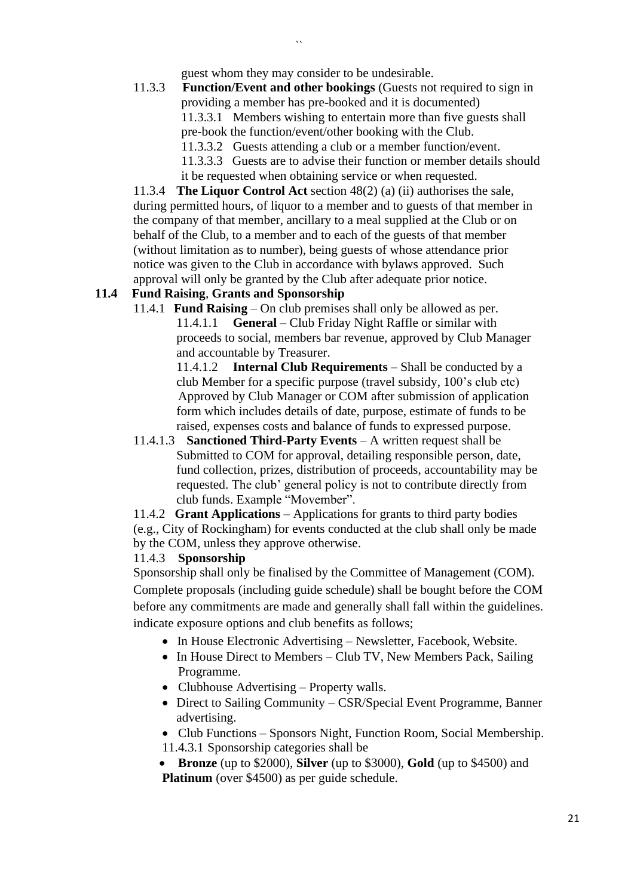guest whom they may consider to be undesirable.

11.3.3 **Function/Event and other bookings** (Guests not required to sign in providing a member has pre-booked and it is documented) 11.3.3.1 Members wishing to entertain more than five guests shall pre-book the function/event/other booking with the Club. 11.3.3.2 Guests attending a club or a member function/event. 11.3.3.3 Guests are to advise their function or member details should it be requested when obtaining service or when requested.

11.3.4 **The Liquor Control Act** section 48(2) (a) (ii) authorises the sale, during permitted hours, of liquor to a member and to guests of that member in the company of that member, ancillary to a meal supplied at the Club or on behalf of the Club, to a member and to each of the guests of that member (without limitation as to number), being guests of whose attendance prior notice was given to the Club in accordance with bylaws approved. Such approval will only be granted by the Club after adequate prior notice.

### **11.4 Fund Raising**, **Grants and Sponsorship**

11.4.1 **Fund Raising** – On club premises shall only be allowed as per. 11.4.1.1 **General** – Club Friday Night Raffle or similar with proceeds to social, members bar revenue, approved by Club Manager and accountable by Treasurer.

> 11.4.1.2 **Internal Club Requirements** – Shall be conducted by a club Member for a specific purpose (travel subsidy, 100's club etc) Approved by Club Manager or COM after submission of application form which includes details of date, purpose, estimate of funds to be raised, expenses costs and balance of funds to expressed purpose.

11.4.1.3 **Sanctioned Third-Party Events** – A written request shall be Submitted to COM for approval, detailing responsible person, date, fund collection, prizes, distribution of proceeds, accountability may be requested. The club' general policy is not to contribute directly from club funds. Example "Movember".

11.4.2 **Grant Applications** – Applications for grants to third party bodies (e.g., City of Rockingham) for events conducted at the club shall only be made by the COM, unless they approve otherwise.

### 11.4.3 **Sponsorship**

Sponsorship shall only be finalised by the Committee of Management (COM). Complete proposals (including guide schedule) shall be bought before the COM before any commitments are made and generally shall fall within the guidelines. indicate exposure options and club benefits as follows;

- In House Electronic Advertising Newsletter, Facebook, Website.
- In House Direct to Members Club TV, New Members Pack, Sailing Programme.
- Clubhouse Advertising Property walls.
- Direct to Sailing Community CSR/Special Event Programme, Banner advertising.
- Club Functions Sponsors Night, Function Room, Social Membership.
- 11.4.3.1 Sponsorship categories shall be

• **Bronze** (up to \$2000), **Silver** (up to \$3000), **Gold** (up to \$4500) and **Platinum** (over \$4500) as per guide schedule.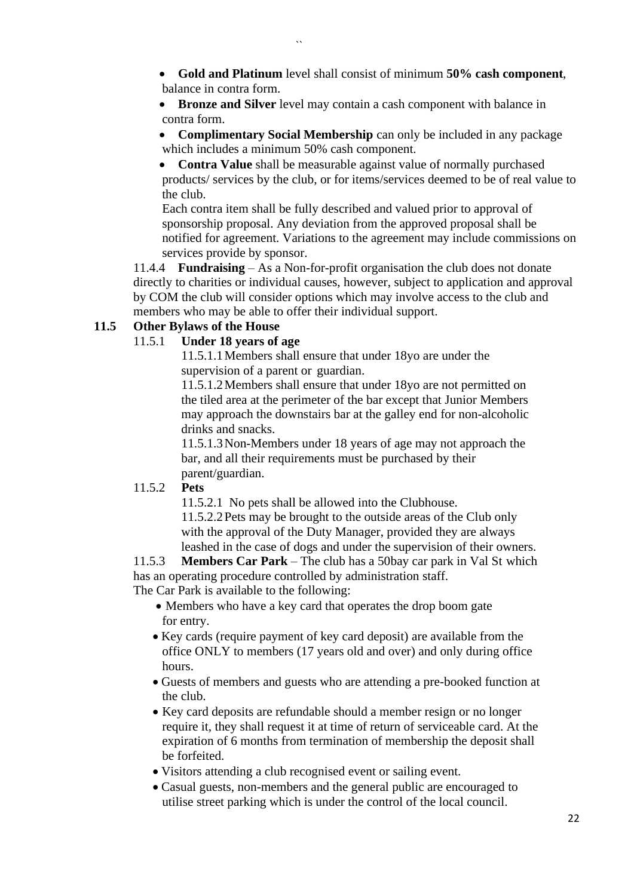- **Gold and Platinum** level shall consist of minimum **50% cash component**, balance in contra form.
- **Bronze and Silver** level may contain a cash component with balance in contra form.
- **Complimentary Social Membership** can only be included in any package which includes a minimum 50% cash component.

• **Contra Value** shall be measurable against value of normally purchased products/ services by the club, or for items/services deemed to be of real value to the club.

Each contra item shall be fully described and valued prior to approval of sponsorship proposal. Any deviation from the approved proposal shall be notified for agreement. Variations to the agreement may include commissions on services provide by sponsor.

11.4.4 **Fundraising** – As a Non-for-profit organisation the club does not donate directly to charities or individual causes, however, subject to application and approval by COM the club will consider options which may involve access to the club and members who may be able to offer their individual support.

# **11.5 Other Bylaws of the House**

# 11.5.1 **Under 18 years of age**

11.5.1.1Members shall ensure that under 18yo are under the supervision of a parent or guardian.

11.5.1.2Members shall ensure that under 18yo are not permitted on the tiled area at the perimeter of the bar except that Junior Members may approach the downstairs bar at the galley end for non-alcoholic drinks and snacks.

11.5.1.3Non-Members under 18 years of age may not approach the bar, and all their requirements must be purchased by their parent/guardian.

# 11.5.2 **Pets**

11.5.2.1 No pets shall be allowed into the Clubhouse. 11.5.2.2Pets may be brought to the outside areas of the Club only with the approval of the Duty Manager, provided they are always leashed in the case of dogs and under the supervision of their owners.

11.5.3 **Members Car Park** – The club has a 50bay car park in Val St which has an operating procedure controlled by administration staff.

The Car Park is available to the following:

- Members who have a key card that operates the drop boom gate for entry.
- Key cards (require payment of key card deposit) are available from the office ONLY to members (17 years old and over) and only during office hours.
- Guests of members and guests who are attending a pre-booked function at the club.
- Key card deposits are refundable should a member resign or no longer require it, they shall request it at time of return of serviceable card. At the expiration of 6 months from termination of membership the deposit shall be forfeited.
- Visitors attending a club recognised event or sailing event.
- Casual guests, non-members and the general public are encouraged to utilise street parking which is under the control of the local council.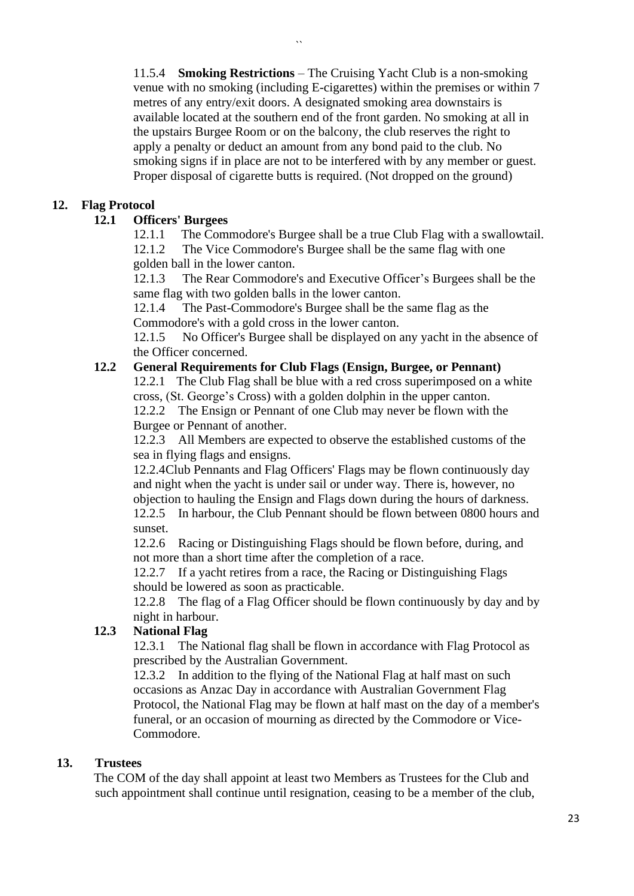11.5.4 **Smoking Restrictions** – The Cruising Yacht Club is a non-smoking venue with no smoking (including E-cigarettes) within the premises or within 7 metres of any entry/exit doors. A designated smoking area downstairs is available located at the southern end of the front garden. No smoking at all in the upstairs Burgee Room or on the balcony, the club reserves the right to apply a penalty or deduct an amount from any bond paid to the club. No smoking signs if in place are not to be interfered with by any member or guest. Proper disposal of cigarette butts is required. (Not dropped on the ground)

# **12. Flag Protocol**

### **12.1 Officers' Burgees**

12.1.1 The Commodore's Burgee shall be a true Club Flag with a swallowtail.

12.1.2 The Vice Commodore's Burgee shall be the same flag with one golden ball in the lower canton.

12.1.3 The Rear Commodore's and Executive Officer's Burgees shall be the same flag with two golden balls in the lower canton.

12.1.4 The Past-Commodore's Burgee shall be the same flag as the Commodore's with a gold cross in the lower canton.

12.1.5 No Officer's Burgee shall be displayed on any yacht in the absence of the Officer concerned.

### **12.2 General Requirements for Club Flags (Ensign, Burgee, or Pennant)**

12.2.1 The Club Flag shall be blue with a red cross superimposed on a white cross, (St. George's Cross) with a golden dolphin in the upper canton.

12.2.2 The Ensign or Pennant of one Club may never be flown with the Burgee or Pennant of another.

12.2.3 All Members are expected to observe the established customs of the sea in flying flags and ensigns.

12.2.4Club Pennants and Flag Officers' Flags may be flown continuously day and night when the yacht is under sail or under way. There is, however, no objection to hauling the Ensign and Flags down during the hours of darkness.

12.2.5 In harbour, the Club Pennant should be flown between 0800 hours and sunset.

12.2.6 Racing or Distinguishing Flags should be flown before, during, and not more than a short time after the completion of a race.

12.2.7 If a yacht retires from a race, the Racing or Distinguishing Flags should be lowered as soon as practicable.

12.2.8 The flag of a Flag Officer should be flown continuously by day and by night in harbour.

### **12.3 National Flag**

12.3.1 The National flag shall be flown in accordance with Flag Protocol as prescribed by the Australian Government.

12.3.2 In addition to the flying of the National Flag at half mast on such occasions as Anzac Day in accordance with Australian Government Flag Protocol, the National Flag may be flown at half mast on the day of a member's funeral, or an occasion of mourning as directed by the Commodore or Vice-Commodore.

### **13. Trustees**

The COM of the day shall appoint at least two Members as Trustees for the Club and such appointment shall continue until resignation, ceasing to be a member of the club,